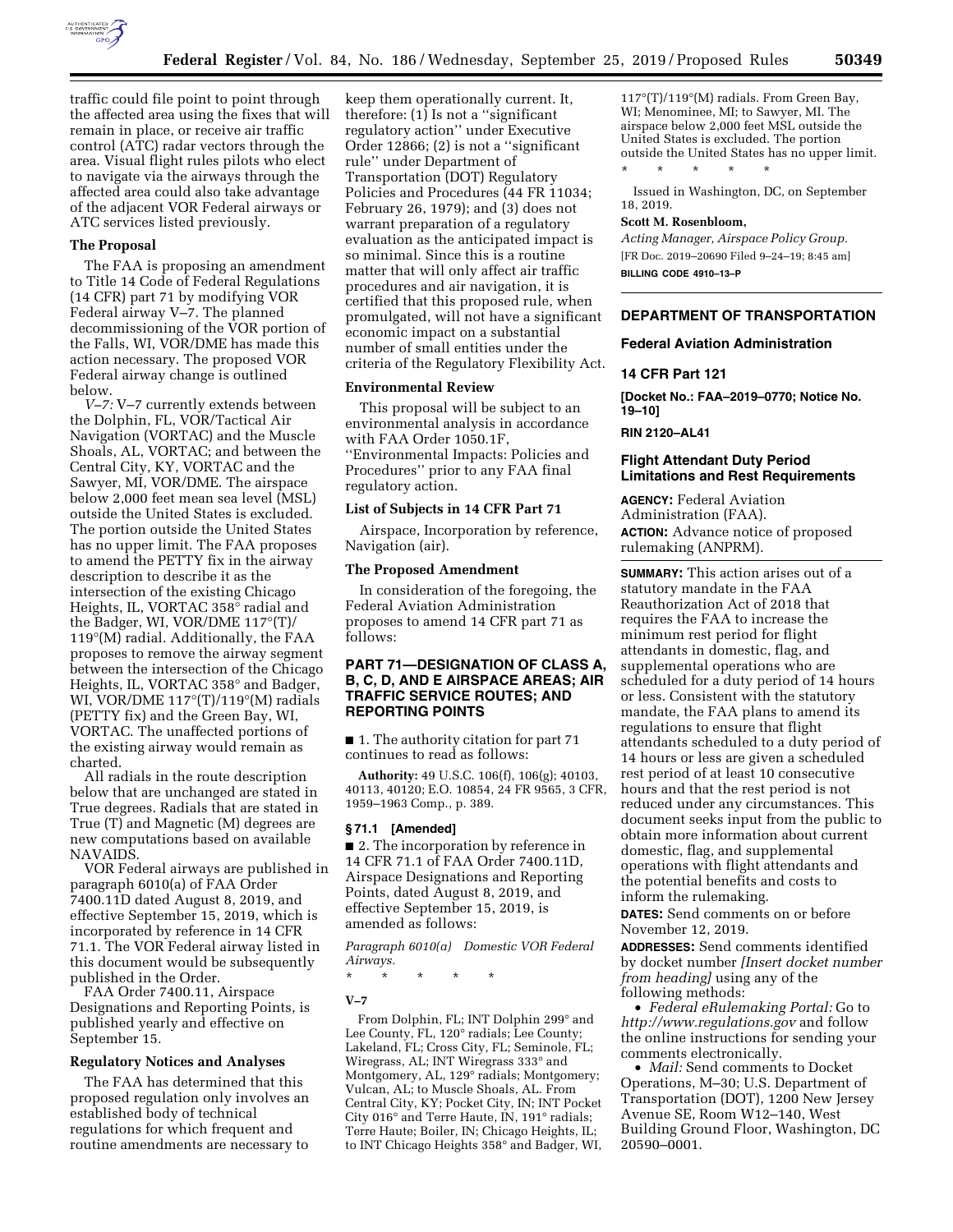

traffic could file point to point through the affected area using the fixes that will remain in place, or receive air traffic control (ATC) radar vectors through the area. Visual flight rules pilots who elect to navigate via the airways through the affected area could also take advantage of the adjacent VOR Federal airways or ATC services listed previously.

## **The Proposal**

The FAA is proposing an amendment to Title 14 Code of Federal Regulations (14 CFR) part 71 by modifying VOR Federal airway V–7. The planned decommissioning of the VOR portion of the Falls, WI, VOR/DME has made this action necessary. The proposed VOR Federal airway change is outlined below.

*V–7:* V–7 currently extends between the Dolphin, FL, VOR/Tactical Air Navigation (VORTAC) and the Muscle Shoals, AL, VORTAC; and between the Central City, KY, VORTAC and the Sawyer, MI, VOR/DME. The airspace below 2,000 feet mean sea level (MSL) outside the United States is excluded. The portion outside the United States has no upper limit. The FAA proposes to amend the PETTY fix in the airway description to describe it as the intersection of the existing Chicago Heights, IL, VORTAC 358° radial and the Badger, WI, VOR/DME 117°(T)/ 119°(M) radial. Additionally, the FAA proposes to remove the airway segment between the intersection of the Chicago Heights, IL, VORTAC 358° and Badger, WI, VOR/DME 117°(T)/119°(M) radials (PETTY fix) and the Green Bay, WI, VORTAC. The unaffected portions of the existing airway would remain as charted.

All radials in the route description below that are unchanged are stated in True degrees. Radials that are stated in True (T) and Magnetic (M) degrees are new computations based on available NAVAIDS.

VOR Federal airways are published in paragraph 6010(a) of FAA Order 7400.11D dated August 8, 2019, and effective September 15, 2019, which is incorporated by reference in 14 CFR 71.1. The VOR Federal airway listed in this document would be subsequently published in the Order.

FAA Order 7400.11, Airspace Designations and Reporting Points, is published yearly and effective on September 15.

### **Regulatory Notices and Analyses**

The FAA has determined that this proposed regulation only involves an established body of technical regulations for which frequent and routine amendments are necessary to

keep them operationally current. It, therefore: (1) Is not a ''significant regulatory action'' under Executive Order 12866; (2) is not a ''significant rule'' under Department of Transportation (DOT) Regulatory Policies and Procedures (44 FR 11034; February 26, 1979); and (3) does not warrant preparation of a regulatory evaluation as the anticipated impact is so minimal. Since this is a routine matter that will only affect air traffic procedures and air navigation, it is certified that this proposed rule, when promulgated, will not have a significant economic impact on a substantial number of small entities under the criteria of the Regulatory Flexibility Act.

#### **Environmental Review**

This proposal will be subject to an environmental analysis in accordance with FAA Order 1050.1F, ''Environmental Impacts: Policies and Procedures'' prior to any FAA final regulatory action.

# **List of Subjects in 14 CFR Part 71**

Airspace, Incorporation by reference, Navigation (air).

#### **The Proposed Amendment**

In consideration of the foregoing, the Federal Aviation Administration proposes to amend 14 CFR part 71 as follows:

# **PART 71—DESIGNATION OF CLASS A, B, C, D, AND E AIRSPACE AREAS; AIR TRAFFIC SERVICE ROUTES; AND REPORTING POINTS**

■ 1. The authority citation for part 71 continues to read as follows:

**Authority:** 49 U.S.C. 106(f), 106(g); 40103, 40113, 40120; E.O. 10854, 24 FR 9565, 3 CFR, 1959–1963 Comp., p. 389.

#### **§ 71.1 [Amended]**

■ 2. The incorporation by reference in 14 CFR 71.1 of FAA Order 7400.11D, Airspace Designations and Reporting Points, dated August 8, 2019, and effective September 15, 2019, is amended as follows:

*Paragraph 6010(a) Domestic VOR Federal Airways.* 

\* \* \* \* \*

#### **V–7**

From Dolphin, FL; INT Dolphin 299° and Lee County, FL, 120° radials; Lee County; Lakeland, FL; Cross City, FL; Seminole, FL; Wiregrass, AL; INT Wiregrass 333° and Montgomery, AL, 129° radials; Montgomery; Vulcan, AL; to Muscle Shoals, AL. From Central City, KY; Pocket City, IN; INT Pocket City 016° and Terre Haute, IN, 191° radials; Terre Haute; Boiler, IN; Chicago Heights, IL; to INT Chicago Heights 358° and Badger, WI,

117°(T)/119°(M) radials. From Green Bay, WI; Menominee, MI; to Sawyer, MI. The airspace below 2,000 feet MSL outside the United States is excluded. The portion outside the United States has no upper limit. \* \* \* \* \*

Issued in Washington, DC, on September 18, 2019.

## **Scott M. Rosenbloom,**

*Acting Manager, Airspace Policy Group.*  [FR Doc. 2019–20690 Filed 9–24–19; 8:45 am] **BILLING CODE 4910–13–P** 

# **DEPARTMENT OF TRANSPORTATION**

#### **Federal Aviation Administration**

#### **14 CFR Part 121**

**[Docket No.: FAA–2019–0770; Notice No. 19–10]** 

**RIN 2120–AL41** 

# **Flight Attendant Duty Period Limitations and Rest Requirements**

**AGENCY:** Federal Aviation Administration (FAA). **ACTION:** Advance notice of proposed rulemaking (ANPRM).

**SUMMARY:** This action arises out of a statutory mandate in the FAA Reauthorization Act of 2018 that requires the FAA to increase the minimum rest period for flight attendants in domestic, flag, and supplemental operations who are scheduled for a duty period of 14 hours or less. Consistent with the statutory mandate, the FAA plans to amend its regulations to ensure that flight attendants scheduled to a duty period of 14 hours or less are given a scheduled rest period of at least 10 consecutive hours and that the rest period is not reduced under any circumstances. This document seeks input from the public to obtain more information about current domestic, flag, and supplemental operations with flight attendants and the potential benefits and costs to inform the rulemaking.

**DATES:** Send comments on or before November 12, 2019.

**ADDRESSES:** Send comments identified by docket number *[Insert docket number from heading]* using any of the following methods:

• *Federal eRulemaking Portal:* Go to *<http://www.regulations.gov>* and follow the online instructions for sending your comments electronically.

• *Mail:* Send comments to Docket Operations, M–30; U.S. Department of Transportation (DOT), 1200 New Jersey Avenue SE, Room W12–140, West Building Ground Floor, Washington, DC 20590–0001.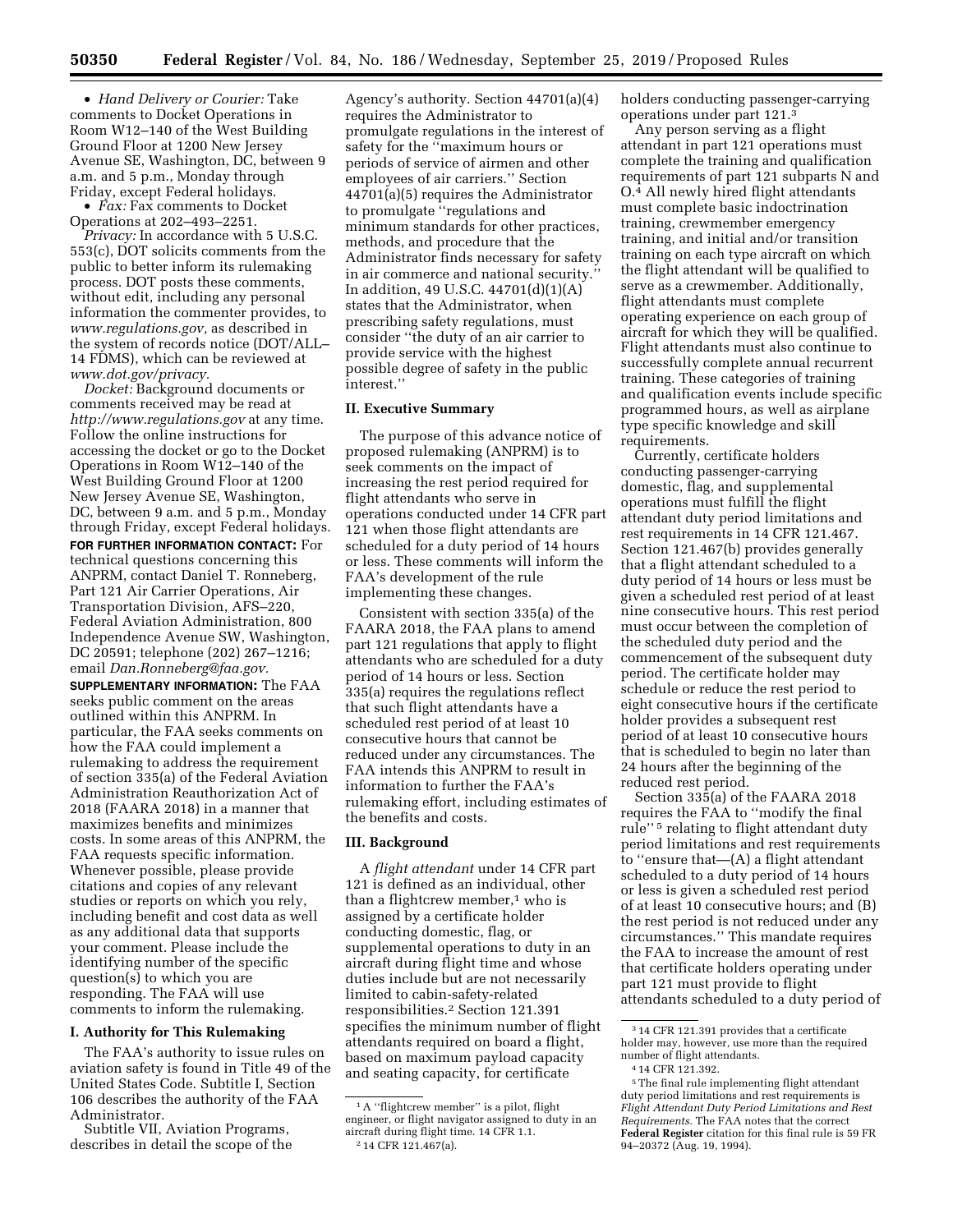• *Hand Delivery or Courier:* Take comments to Docket Operations in Room W12–140 of the West Building Ground Floor at 1200 New Jersey Avenue SE, Washington, DC, between 9 a.m. and 5 p.m., Monday through Friday, except Federal holidays.

• *Fax:* Fax comments to Docket Operations at 202–493–2251.

*Privacy:* In accordance with 5 U.S.C. 553(c), DOT solicits comments from the public to better inform its rulemaking process. DOT posts these comments, without edit, including any personal information the commenter provides, to *[www.regulations.gov,](http://www.regulations.gov)* as described in the system of records notice (DOT/ALL– 14 FDMS), which can be reviewed at *[www.dot.gov/privacy.](http://www.dot.gov/privacy)* 

*Docket:* Background documents or comments received may be read at *<http://www.regulations.gov>* at any time. Follow the online instructions for accessing the docket or go to the Docket Operations in Room W12–140 of the West Building Ground Floor at 1200 New Jersey Avenue SE, Washington, DC, between 9 a.m. and 5 p.m., Monday through Friday, except Federal holidays. **FOR FURTHER INFORMATION CONTACT:** For technical questions concerning this ANPRM, contact Daniel T. Ronneberg, Part 121 Air Carrier Operations, Air Transportation Division, AFS–220, Federal Aviation Administration, 800 Independence Avenue SW, Washington, DC 20591; telephone (202) 267–1216; email *[Dan.Ronneberg@faa.gov.](mailto:Dan.Ronneberg@faa.gov)* 

**SUPPLEMENTARY INFORMATION:** The FAA seeks public comment on the areas outlined within this ANPRM. In particular, the FAA seeks comments on how the FAA could implement a rulemaking to address the requirement of section 335(a) of the Federal Aviation Administration Reauthorization Act of 2018 (FAARA 2018) in a manner that maximizes benefits and minimizes costs. In some areas of this ANPRM, the FAA requests specific information. Whenever possible, please provide citations and copies of any relevant studies or reports on which you rely, including benefit and cost data as well as any additional data that supports your comment. Please include the identifying number of the specific question(s) to which you are responding. The FAA will use comments to inform the rulemaking.

## **I. Authority for This Rulemaking**

The FAA's authority to issue rules on aviation safety is found in Title 49 of the United States Code. Subtitle I, Section 106 describes the authority of the FAA Administrator.

Subtitle VII, Aviation Programs, describes in detail the scope of the Agency's authority. Section 44701(a)(4) requires the Administrator to promulgate regulations in the interest of safety for the ''maximum hours or periods of service of airmen and other employees of air carriers.'' Section 44701(a)(5) requires the Administrator to promulgate ''regulations and minimum standards for other practices, methods, and procedure that the Administrator finds necessary for safety in air commerce and national security.'' In addition, 49 U.S.C. 44701(d)(1)(A) states that the Administrator, when prescribing safety regulations, must consider ''the duty of an air carrier to provide service with the highest possible degree of safety in the public interest.''

### **II. Executive Summary**

The purpose of this advance notice of proposed rulemaking (ANPRM) is to seek comments on the impact of increasing the rest period required for flight attendants who serve in operations conducted under 14 CFR part 121 when those flight attendants are scheduled for a duty period of 14 hours or less. These comments will inform the FAA's development of the rule implementing these changes.

Consistent with section 335(a) of the FAARA 2018, the FAA plans to amend part 121 regulations that apply to flight attendants who are scheduled for a duty period of 14 hours or less. Section 335(a) requires the regulations reflect that such flight attendants have a scheduled rest period of at least 10 consecutive hours that cannot be reduced under any circumstances. The FAA intends this ANPRM to result in information to further the FAA's rulemaking effort, including estimates of the benefits and costs.

## **III. Background**

A *flight attendant* under 14 CFR part 121 is defined as an individual, other than a flightcrew member,<sup>1</sup> who is assigned by a certificate holder conducting domestic, flag, or supplemental operations to duty in an aircraft during flight time and whose duties include but are not necessarily limited to cabin-safety-related responsibilities.2 Section 121.391 specifies the minimum number of flight attendants required on board a flight, based on maximum payload capacity and seating capacity, for certificate

holders conducting passenger-carrying operations under part 121.3

Any person serving as a flight attendant in part 121 operations must complete the training and qualification requirements of part 121 subparts N and O.4 All newly hired flight attendants must complete basic indoctrination training, crewmember emergency training, and initial and/or transition training on each type aircraft on which the flight attendant will be qualified to serve as a crewmember. Additionally, flight attendants must complete operating experience on each group of aircraft for which they will be qualified. Flight attendants must also continue to successfully complete annual recurrent training. These categories of training and qualification events include specific programmed hours, as well as airplane type specific knowledge and skill requirements.

Currently, certificate holders conducting passenger-carrying domestic, flag, and supplemental operations must fulfill the flight attendant duty period limitations and rest requirements in 14 CFR 121.467. Section 121.467(b) provides generally that a flight attendant scheduled to a duty period of 14 hours or less must be given a scheduled rest period of at least nine consecutive hours. This rest period must occur between the completion of the scheduled duty period and the commencement of the subsequent duty period. The certificate holder may schedule or reduce the rest period to eight consecutive hours if the certificate holder provides a subsequent rest period of at least 10 consecutive hours that is scheduled to begin no later than 24 hours after the beginning of the reduced rest period.

Section 335(a) of the FAARA 2018 requires the FAA to ''modify the final rule'' 5 relating to flight attendant duty period limitations and rest requirements to ''ensure that—(A) a flight attendant scheduled to a duty period of 14 hours or less is given a scheduled rest period of at least 10 consecutive hours; and (B) the rest period is not reduced under any circumstances.'' This mandate requires the FAA to increase the amount of rest that certificate holders operating under part 121 must provide to flight attendants scheduled to a duty period of

<sup>&</sup>lt;sup>1</sup>A "flightcrew member" is a pilot, flight engineer, or flight navigator assigned to duty in an aircraft during flight time. 14 CFR 1.1. 2 14 CFR 121.467(a).

<sup>3</sup> 14 CFR 121.391 provides that a certificate holder may, however, use more than the required number of flight attendants.

<sup>4</sup> 14 CFR 121.392.

<sup>5</sup>The final rule implementing flight attendant duty period limitations and rest requirements is *Flight Attendant Duty Period Limitations and Rest Requirements.* The FAA notes that the correct **Federal Register** citation for this final rule is 59 FR 94–20372 (Aug. 19, 1994).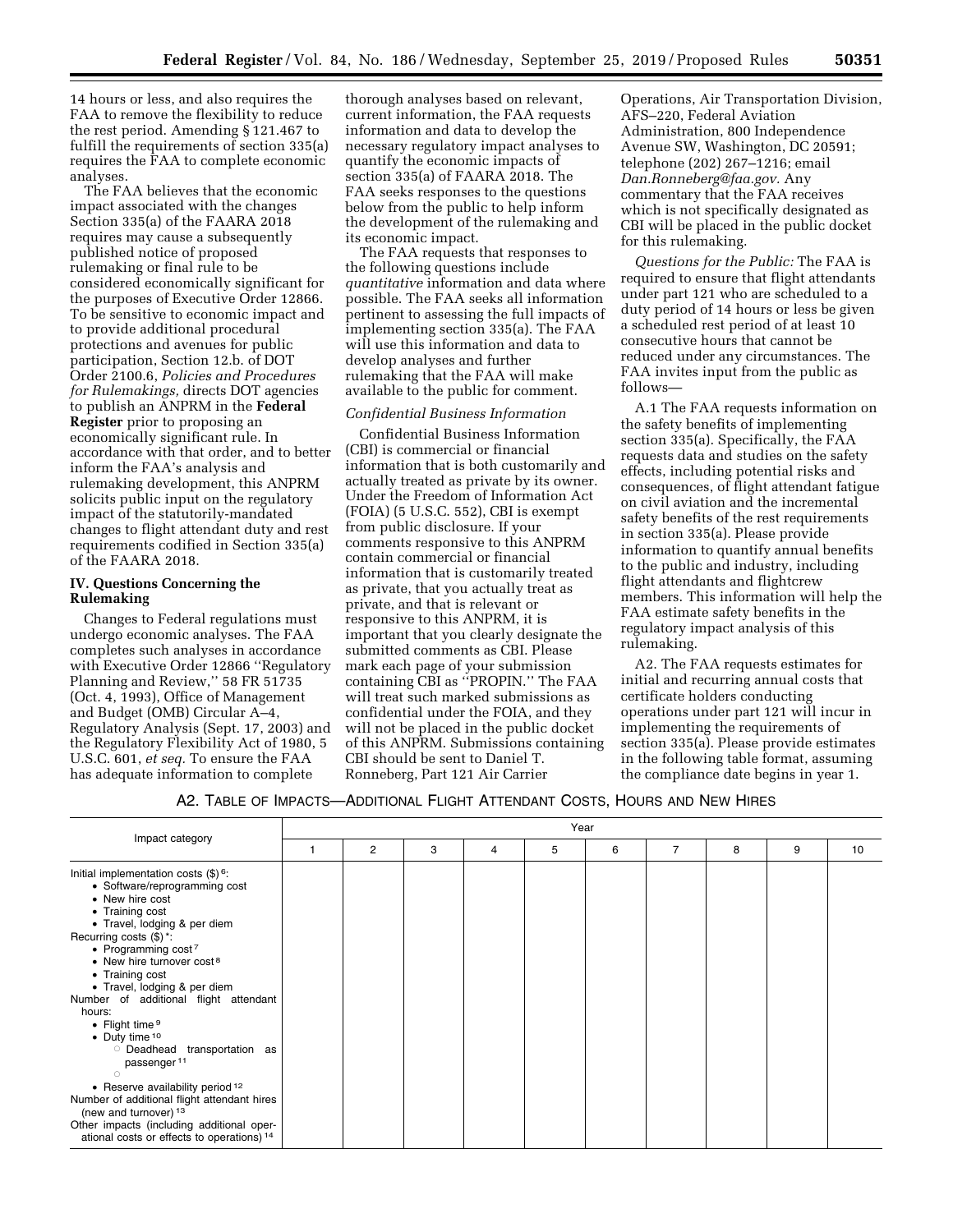14 hours or less, and also requires the FAA to remove the flexibility to reduce the rest period. Amending § 121.467 to fulfill the requirements of section 335(a) requires the FAA to complete economic analyses.

The FAA believes that the economic impact associated with the changes Section 335(a) of the FAARA 2018 requires may cause a subsequently published notice of proposed rulemaking or final rule to be considered economically significant for the purposes of Executive Order 12866. To be sensitive to economic impact and to provide additional procedural protections and avenues for public participation, Section 12.b. of DOT Order 2100.6, *Policies and Procedures for Rulemakings,* directs DOT agencies to publish an ANPRM in the **Federal** 

**Register** prior to proposing an economically significant rule. In accordance with that order, and to better inform the FAA's analysis and rulemaking development, this ANPRM solicits public input on the regulatory impact of the statutorily-mandated changes to flight attendant duty and rest requirements codified in Section 335(a) of the FAARA 2018.

## **IV. Questions Concerning the Rulemaking**

Changes to Federal regulations must undergo economic analyses. The FAA completes such analyses in accordance with Executive Order 12866 ''Regulatory Planning and Review,'' 58 FR 51735 (Oct. 4, 1993), Office of Management and Budget (OMB) Circular A–4, Regulatory Analysis (Sept. 17, 2003) and the Regulatory Flexibility Act of 1980, 5 U.S.C. 601, *et seq.* To ensure the FAA has adequate information to complete

thorough analyses based on relevant, current information, the FAA requests information and data to develop the necessary regulatory impact analyses to quantify the economic impacts of section 335(a) of FAARA 2018. The FAA seeks responses to the questions below from the public to help inform the development of the rulemaking and its economic impact.

The FAA requests that responses to the following questions include *quantitative* information and data where possible. The FAA seeks all information pertinent to assessing the full impacts of implementing section 335(a). The FAA will use this information and data to develop analyses and further rulemaking that the FAA will make available to the public for comment.

#### *Confidential Business Information*

Confidential Business Information (CBI) is commercial or financial information that is both customarily and actually treated as private by its owner. Under the Freedom of Information Act (FOIA) (5 U.S.C. 552), CBI is exempt from public disclosure. If your comments responsive to this ANPRM contain commercial or financial information that is customarily treated as private, that you actually treat as private, and that is relevant or responsive to this ANPRM, it is important that you clearly designate the submitted comments as CBI. Please mark each page of your submission containing CBI as ''PROPIN.'' The FAA will treat such marked submissions as confidential under the FOIA, and they will not be placed in the public docket of this ANPRM. Submissions containing CBI should be sent to Daniel T. Ronneberg, Part 121 Air Carrier

Operations, Air Transportation Division, AFS–220, Federal Aviation Administration, 800 Independence Avenue SW, Washington, DC 20591; telephone (202) 267–1216; email *[Dan.Ronneberg@faa.gov.](mailto:Dan.Ronneberg@faa.gov)* Any commentary that the FAA receives which is not specifically designated as CBI will be placed in the public docket for this rulemaking.

*Questions for the Public:* The FAA is required to ensure that flight attendants under part 121 who are scheduled to a duty period of 14 hours or less be given a scheduled rest period of at least 10 consecutive hours that cannot be reduced under any circumstances. The FAA invites input from the public as follows—

A.1 The FAA requests information on the safety benefits of implementing section 335(a). Specifically, the FAA requests data and studies on the safety effects, including potential risks and consequences, of flight attendant fatigue on civil aviation and the incremental safety benefits of the rest requirements in section 335(a). Please provide information to quantify annual benefits to the public and industry, including flight attendants and flightcrew members. This information will help the FAA estimate safety benefits in the regulatory impact analysis of this rulemaking.

A2. The FAA requests estimates for initial and recurring annual costs that certificate holders conducting operations under part 121 will incur in implementing the requirements of section 335(a). Please provide estimates in the following table format, assuming the compliance date begins in year 1.

## A2. TABLE OF IMPACTS—ADDITIONAL FLIGHT ATTENDANT COSTS, HOURS AND NEW HIRES

| Impact category                                                                                                                                                                                                                                                                                                                                                                                                                                                                                                                                                                                                                                                                                      | Year |   |   |   |   |   |   |   |   |    |
|------------------------------------------------------------------------------------------------------------------------------------------------------------------------------------------------------------------------------------------------------------------------------------------------------------------------------------------------------------------------------------------------------------------------------------------------------------------------------------------------------------------------------------------------------------------------------------------------------------------------------------------------------------------------------------------------------|------|---|---|---|---|---|---|---|---|----|
|                                                                                                                                                                                                                                                                                                                                                                                                                                                                                                                                                                                                                                                                                                      |      | 2 | 3 | 4 | 5 | 6 | 7 | 8 | 9 | 10 |
| Initial implementation costs $(\$)$ <sup>6</sup> :<br>• Software/reprogramming cost<br>• New hire cost<br>• Training cost<br>• Travel, lodging & per diem<br>Recurring costs (\$)*:<br>• Programming cost $7$<br>• New hire turnover cost <sup>8</sup><br>• Training cost<br>• Travel, lodging & per diem<br>of additional flight attendant<br>Number<br>hours:<br>• Flight time <sup>9</sup><br>• Duty time 10<br><b>Deadhead</b><br>transportation as<br>passenger <sup>11</sup><br>$\circ$<br>• Reserve availability period 12<br>Number of additional flight attendant hires<br>(new and turnover) 13<br>Other impacts (including additional oper-<br>ational costs or effects to operations) 14 |      |   |   |   |   |   |   |   |   |    |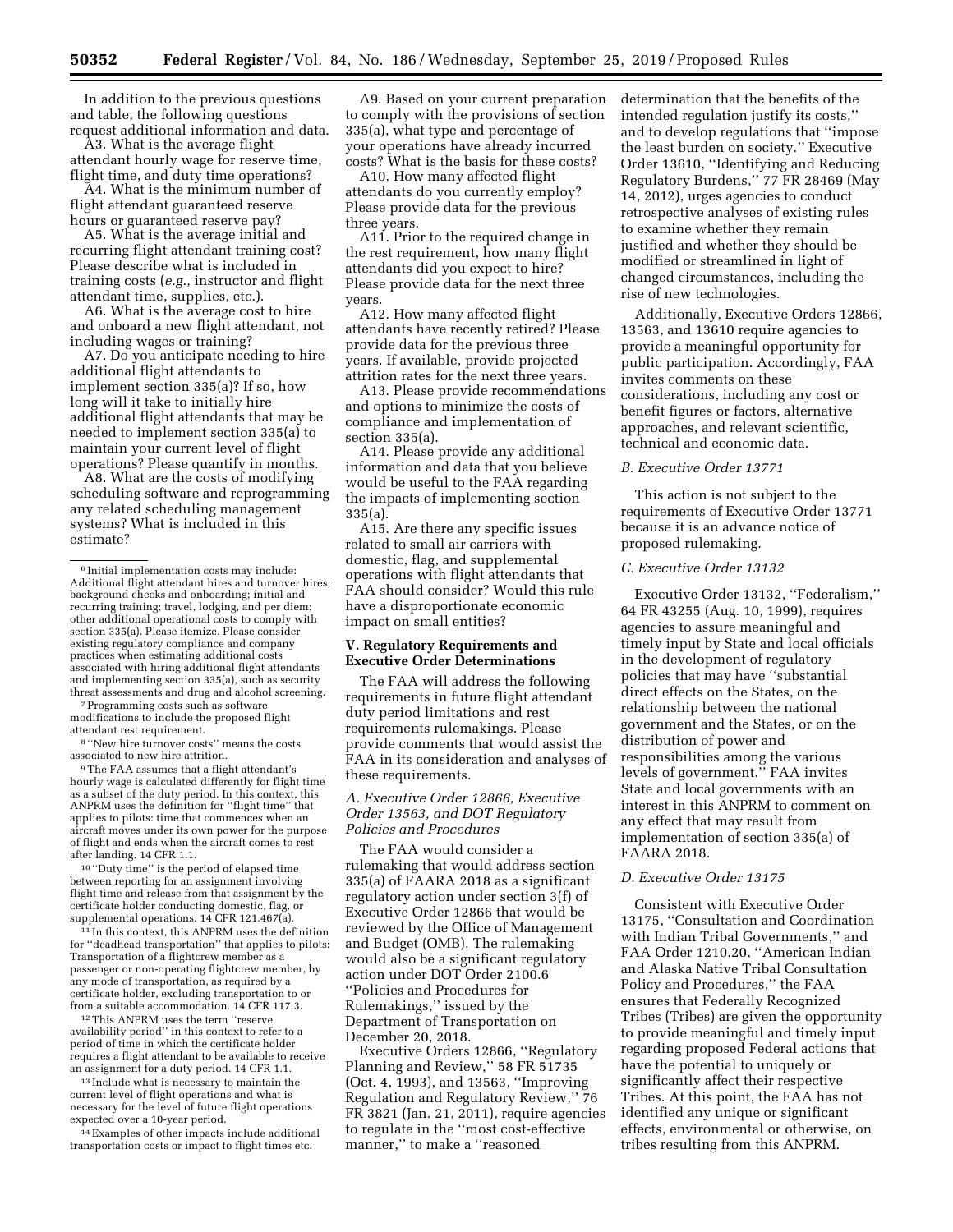In addition to the previous questions and table, the following questions request additional information and data.

A3. What is the average flight attendant hourly wage for reserve time, flight time, and duty time operations?

A4. What is the minimum number of flight attendant guaranteed reserve hours or guaranteed reserve pay?

A5. What is the average initial and recurring flight attendant training cost? Please describe what is included in training costs (*e.g.,* instructor and flight attendant time, supplies, etc.).

A6. What is the average cost to hire and onboard a new flight attendant, not including wages or training?

A7. Do you anticipate needing to hire additional flight attendants to implement section 335(a)? If so, how long will it take to initially hire additional flight attendants that may be needed to implement section 335(a) to maintain your current level of flight operations? Please quantify in months.

A8. What are the costs of modifying scheduling software and reprogramming any related scheduling management systems? What is included in this estimate?

7Programming costs such as software modifications to include the proposed flight

attendant rest requirement.<br><sup>8</sup> ''New hire turnover costs'' means the costs<br>associated to new hire attrition.

 $^{\rm 9}\rm{The\ FAA}$  assumes that a flight attendant's hourly wage is calculated differently for flight time as a subset of the duty period. In this context, this ANPRM uses the definition for ''flight time'' that applies to pilots: time that commences when an aircraft moves under its own power for the purpose of flight and ends when the aircraft comes to rest after landing. 14 CFR 1.1.

10 ''Duty time'' is the period of elapsed time between reporting for an assignment involving flight time and release from that assignment by the certificate holder conducting domestic, flag, or supplemental operations. 14 CFR 121.467(a).

<sup>11</sup> In this context, this ANPRM uses the definition for ''deadhead transportation'' that applies to pilots: Transportation of a flightcrew member as a passenger or non-operating flightcrew member, by any mode of transportation, as required by a certificate holder, excluding transportation to or from a suitable accommodation. 14 CFR 117.3.

12This ANPRM uses the term ''reserve availability period'' in this context to refer to a period of time in which the certificate holder requires a flight attendant to be available to receive an assignment for a duty period. 14 CFR 1.1.

13 Include what is necessary to maintain the current level of flight operations and what is necessary for the level of future flight operations expected over a 10-year period.

14Examples of other impacts include additional transportation costs or impact to flight times etc.

A9. Based on your current preparation to comply with the provisions of section 335(a), what type and percentage of your operations have already incurred costs? What is the basis for these costs?

A10. How many affected flight attendants do you currently employ? Please provide data for the previous three years.

A11. Prior to the required change in the rest requirement, how many flight attendants did you expect to hire? Please provide data for the next three years.

A12. How many affected flight attendants have recently retired? Please provide data for the previous three years. If available, provide projected attrition rates for the next three years.

A13. Please provide recommendations and options to minimize the costs of compliance and implementation of section 335(a).

A14. Please provide any additional information and data that you believe would be useful to the FAA regarding the impacts of implementing section 335(a).

A15. Are there any specific issues related to small air carriers with domestic, flag, and supplemental operations with flight attendants that FAA should consider? Would this rule have a disproportionate economic impact on small entities?

## **V. Regulatory Requirements and Executive Order Determinations**

The FAA will address the following requirements in future flight attendant duty period limitations and rest requirements rulemakings. Please provide comments that would assist the FAA in its consideration and analyses of these requirements.

## *A. Executive Order 12866, Executive Order 13563, and DOT Regulatory Policies and Procedures*

The FAA would consider a rulemaking that would address section 335(a) of FAARA 2018 as a significant regulatory action under section 3(f) of Executive Order 12866 that would be reviewed by the Office of Management and Budget (OMB). The rulemaking would also be a significant regulatory action under DOT Order 2100.6 ''Policies and Procedures for Rulemakings,'' issued by the Department of Transportation on December 20, 2018.

Executive Orders 12866, ''Regulatory Planning and Review,'' 58 FR 51735 (Oct. 4, 1993), and 13563, ''Improving Regulation and Regulatory Review,'' 76 FR 3821 (Jan. 21, 2011), require agencies to regulate in the ''most cost-effective manner,'' to make a ''reasoned

determination that the benefits of the intended regulation justify its costs,'' and to develop regulations that ''impose the least burden on society.'' Executive Order 13610, ''Identifying and Reducing Regulatory Burdens,'' 77 FR 28469 (May 14, 2012), urges agencies to conduct retrospective analyses of existing rules to examine whether they remain justified and whether they should be modified or streamlined in light of changed circumstances, including the rise of new technologies.

Additionally, Executive Orders 12866, 13563, and 13610 require agencies to provide a meaningful opportunity for public participation. Accordingly, FAA invites comments on these considerations, including any cost or benefit figures or factors, alternative approaches, and relevant scientific, technical and economic data.

#### *B. Executive Order 13771*

This action is not subject to the requirements of Executive Order 13771 because it is an advance notice of proposed rulemaking.

#### *C. Executive Order 13132*

Executive Order 13132, ''Federalism,'' 64 FR 43255 (Aug. 10, 1999), requires agencies to assure meaningful and timely input by State and local officials in the development of regulatory policies that may have ''substantial direct effects on the States, on the relationship between the national government and the States, or on the distribution of power and responsibilities among the various levels of government.'' FAA invites State and local governments with an interest in this ANPRM to comment on any effect that may result from implementation of section 335(a) of FAARA 2018.

#### *D. Executive Order 13175*

Consistent with Executive Order 13175, ''Consultation and Coordination with Indian Tribal Governments,'' and FAA Order 1210.20, ''American Indian and Alaska Native Tribal Consultation Policy and Procedures,'' the FAA ensures that Federally Recognized Tribes (Tribes) are given the opportunity to provide meaningful and timely input regarding proposed Federal actions that have the potential to uniquely or significantly affect their respective Tribes. At this point, the FAA has not identified any unique or significant effects, environmental or otherwise, on tribes resulting from this ANPRM.

<sup>6</sup> Initial implementation costs may include: Additional flight attendant hires and turnover hires; background checks and onboarding; initial and recurring training; travel, lodging, and per diem; other additional operational costs to comply with section 335(a). Please itemize. Please consider existing regulatory compliance and company practices when estimating additional costs associated with hiring additional flight attendants and implementing section 335(a), such as security threat assessments and drug and alcohol screening.